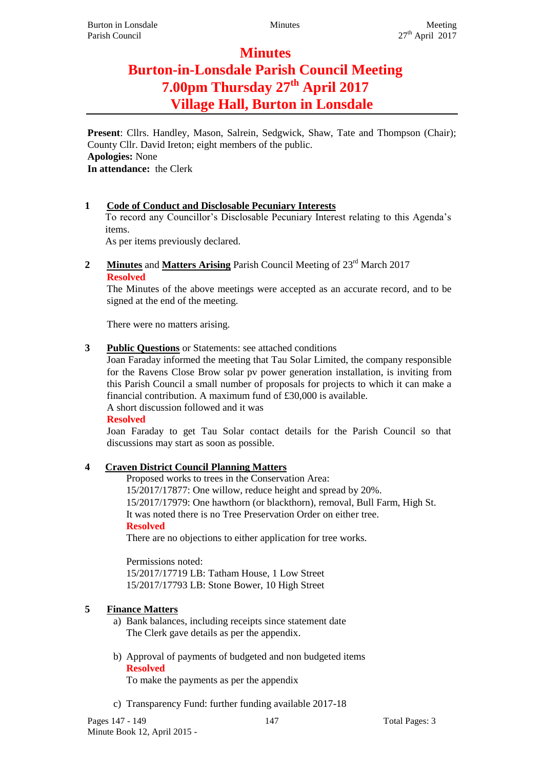## **Minutes**

# **Burton-in-Lonsdale Parish Council Meeting 7.00pm Thursday 27th April 2017 Village Hall, Burton in Lonsdale**

**Present**: Cllrs. Handley, Mason, Salrein, Sedgwick, Shaw, Tate and Thompson (Chair); County Cllr. David Ireton; eight members of the public. **Apologies:** None **In attendance:** the Clerk

#### **1 Code of Conduct and Disclosable Pecuniary Interests**

To record any Councillor's Disclosable Pecuniary Interest relating to this Agenda's items.

As per items previously declared.

#### **2 Minutes** and **Matters Arising** Parish Council Meeting of 23<sup>rd</sup> March 2017 **Resolved**

The Minutes of the above meetings were accepted as an accurate record, and to be signed at the end of the meeting.

There were no matters arising.

#### **3 Public Questions** or Statements: see attached conditions

Joan Faraday informed the meeting that Tau Solar Limited, the company responsible for the Ravens Close Brow solar pv power generation installation, is inviting from this Parish Council a small number of proposals for projects to which it can make a financial contribution. A maximum fund of £30,000 is available. A short discussion followed and it was

**Resolved**

Joan Faraday to get Tau Solar contact details for the Parish Council so that discussions may start as soon as possible.

#### **4 Craven District Council Planning Matters**

Proposed works to trees in the Conservation Area: 15/2017/17877: One willow, reduce height and spread by 20%. 15/2017/17979: One hawthorn (or blackthorn), removal, Bull Farm, High St. It was noted there is no Tree Preservation Order on either tree. **Resolved**

There are no objections to either application for tree works.

Permissions noted: 15/2017/17719 LB: Tatham House, 1 Low Street 15/2017/17793 LB: Stone Bower, 10 High Street

#### **5 Finance Matters**

- a) Bank balances, including receipts since statement date The Clerk gave details as per the appendix.
- b) Approval of payments of budgeted and non budgeted items **Resolved**

To make the payments as per the appendix

c) Transparency Fund: further funding available 2017-18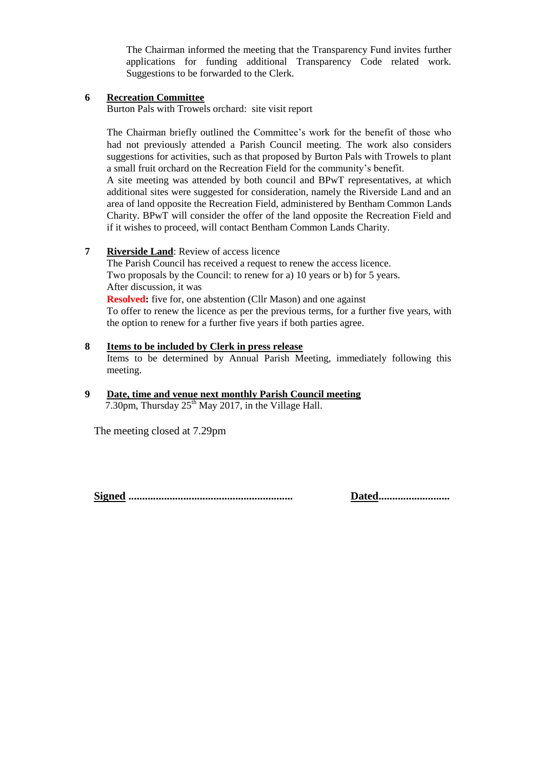The Chairman informed the meeting that the Transparency Fund invites further applications for funding additional Transparency Code related work. Suggestions to be forwarded to the Clerk.

#### **6 Recreation Committee**

Burton Pals with Trowels orchard: site visit report

The Chairman briefly outlined the Committee's work for the benefit of those who had not previously attended a Parish Council meeting. The work also considers suggestions for activities, such as that proposed by Burton Pals with Trowels to plant a small fruit orchard on the Recreation Field for the community's benefit.

A site meeting was attended by both council and BPwT representatives, at which additional sites were suggested for consideration, namely the Riverside Land and an area of land opposite the Recreation Field, administered by Bentham Common Lands Charity. BPwT will consider the offer of the land opposite the Recreation Field and if it wishes to proceed, will contact Bentham Common Lands Charity.

#### **7 Riverside Land**: Review of access licence

The Parish Council has received a request to renew the access licence. Two proposals by the Council: to renew for a) 10 years or b) for 5 years. After discussion, it was **Resolved:** five for, one abstention (Cllr Mason) and one against To offer to renew the licence as per the previous terms, for a further five years, with the option to renew for a further five years if both parties agree.

#### **8 Items to be included by Clerk in press release** Items to be determined by Annual Parish Meeting, immediately following this meeting.

#### **9 Date, time and venue next monthly Parish Council meeting** 7.30pm, Thursday  $25<sup>th</sup>$  May 2017, in the Village Hall.

The meeting closed at 7.29pm

**Signed ............................................................ Dated..........................**